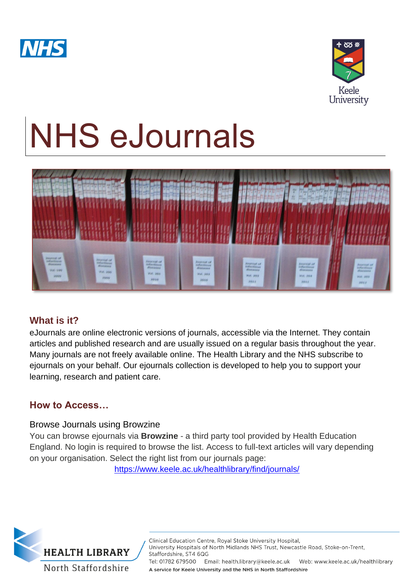



# NHS eJournals



# **What is it?**

eJournals are online electronic versions of journals, accessible via the Internet. They contain articles and published research and are usually issued on a regular basis throughout the year. Many journals are not freely available online. The Health Library and the NHS subscribe to ejournals on your behalf. Our ejournals collection is developed to help you to support your learning, research and patient care.

# **How to Access…**

## Browse Journals using Browzine

You can browse ejournals via **Browzine** - a third party tool provided by Health Education England. No login is required to browse the list. Access to full-text articles will vary depending on your organisation. Select the right list from our journals page:

<https://www.keele.ac.uk/healthlibrary/find/journals/>



Clinical Education Centre, Royal Stoke University Hospital, University Hospitals of North Midlands NHS Trust, Newcastle Road, Stoke-on-Trent, Staffordshire, ST4 6QG Tel: 01782 679500 Email: health.library@keele.ac.uk Web: www.keele.ac.uk/healthlibrary A service for Keele University and the NHS in North Staffordshire